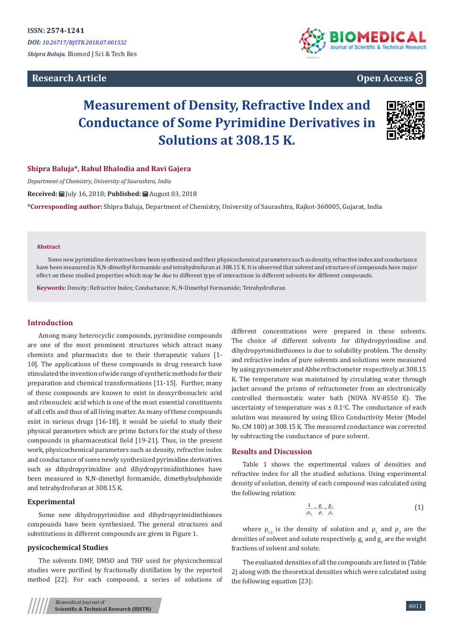# **Research Article**



# **Open Access**

# **Measurement of Density, Refractive Index and Conductance of Some Pyrimidine Derivatives in Solutions at 308.15 K.**



# **Shipra Baluja\*, Rahul Bhalodia and Ravi Gajera**

*Department of Chemistry, University of Saurashtra, India*

**Received:** July 16, 2018; **Published:** August 03, 2018

**\*Corresponding author:** Shipra Baluja, Department of Chemistry, University of Saurashtra, Rajkot-360005, Gujarat, India

#### **Abstract**

Some new pyrimidine derivatives have been synthesized and their physicochemical parameters such as density, refractive index and conductance have been measured in N,N-dimethyl formamide and tetrahydrofuran at 308.15 K. It is observed that solvent and structure of compounds have major effect on these studied properties which may be due to different type of interactions in different solvents for different compounds.

**Keywords:** Density; Refractive Index; Conductance; N, N-Dimethyl Formamide; Tetrahydrofuran

# **Introduction**

Among many heterocyclic compounds, pyrimidine compounds are one of the most prominent structures which attract many chemists and pharmacists due to their therapeutic values [1- 10]. The applications of these compounds in drug research have stimulated the invention of wide range of synthetic methods for their preparation and chemical transformations [11-15]. Further, many of these compounds are known to exist in deoxyribonucleic acid and ribonucleic acid which is one of the most essential constituents of all cells and thus of all living matter. As many of these compounds exist in various drugs [16-18], it would be useful to study their physical parameters which are prime factors for the study of these compounds in pharmaceutical field [19-21]. Thus, in the present work, physicochemical parameters such as density, refractive index and conductance of some newly synthesized pyrimidine derivatives such as dihydropyrimidine and dihydropyrimidinthiones have been measured in N,N-dimethyl formamide, dimethylsulphoxide and tetrahydrofuran at 308.15 K.

## **Experimental**

Some new dihydropyrimidine and dihydropyrimidinthiones compounds have been synthesized. The general structures and substitutions in different compounds are given in Figure 1.

# **pysicochemical Studies**

The solvents DMF, DMSO and THF used for physicochemical studies were purified by fractionally distillation by the reported method [22]. For each compound, a series of solutions of different concentrations were prepared in these solvents. The choice of different solvents for dihydropyrimidine and dihydropyrimidinthiones is due to solubility problem. The density and refractive index of pure solvents and solutions were measured by using pycnometer and Abbe refractometer respectively at 308.15 K. The temperature was maintained by circulating water through jacket around the prisms of refractometer from an electronically controlled thermostatic water bath (NOVA NV-8550 E). The uncertainty of temperature was  $\pm$  0.1 °C. The conductance of each solution was measured by using Elico Conductivity Meter (Model No. CM 180) at 308.15 K. The measured conductance was corrected by subtracting the conductance of pure solvent.

#### **Results and Discussion**

Table 1 shows the experimental values of densities and refractive index for all the studied solutions. Using experimental density of solution, density of each compound was calculated using the following relation:

$$
\frac{1}{\rho_{12}} = \frac{g_1}{\rho_1} + \frac{g_2}{\rho_2} \tag{1}
$$

where  $\rho_{12}$  is the density of solution and  $\rho_1$  and  $\rho_2$  are the densities of solvent and solute respectively.  $g_1$  and  $g_2$  are the weight fractions of solvent and solute.

The evaluated densities of all the compounds are listed in (Table 2) along with the theoretical densities which were calculated using the following equation [23]: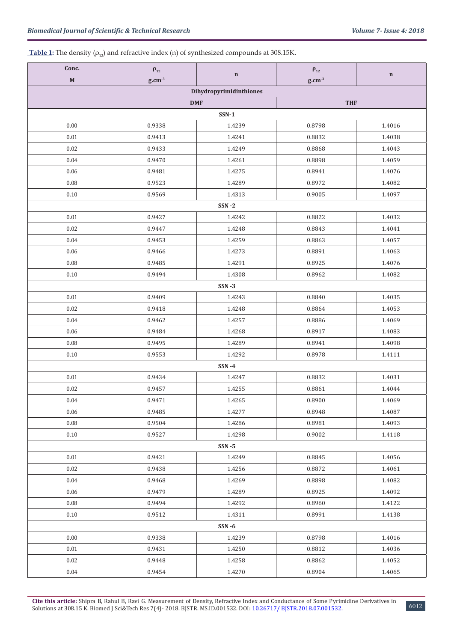# **Table 1:** The density  $(\rho_{12})$  and refractive index (n) of synthesized compounds at 308.15K.

| Conc.       | $\boldsymbol{\rho}_{12}$ | $\mathbf n$             | $\rho_{12}$ | $\bf n$ |
|-------------|--------------------------|-------------------------|-------------|---------|
| $\mathbf M$ | $g.cm^{-3}$              |                         | $g.cm^{-3}$ |         |
|             |                          | Dihydropyrimidinthiones |             |         |
|             | <b>DMF</b>               |                         | <b>THF</b>  |         |
|             |                          | $SSN-1$                 |             |         |
| 0.00        | 0.9338                   | 1.4239                  | 0.8798      | 1.4016  |
| $0.01\,$    | 0.9413                   | 1.4241                  | 0.8832      | 1.4038  |
| 0.02        | 0.9433                   | 1.4249                  | 0.8868      | 1.4043  |
| 0.04        | 0.9470                   | 1.4261                  | 0.8898      | 1.4059  |
| 0.06        | 0.9481                   | 1.4275                  | 0.8941      | 1.4076  |
| $0.08\,$    | 0.9523                   | 1.4289                  | 0.8972      | 1.4082  |
| 0.10        | 0.9569                   | 1.4313                  | 0.9005      | 1.4097  |
|             |                          | $SSN - 2$               |             |         |
| 0.01        | 0.9427                   | 1.4242                  | 0.8822      | 1.4032  |
| 0.02        | 0.9447                   | 1.4248                  | 0.8843      | 1.4041  |
| 0.04        | 0.9453                   | 1.4259                  | 0.8863      | 1.4057  |
| 0.06        | 0.9466                   | 1.4273                  | 0.8891      | 1.4063  |
| $0.08\,$    | 0.9485                   | 1.4291                  | 0.8925      | 1.4076  |
| 0.10        | 0.9494                   | 1.4308                  | 0.8962      | 1.4082  |
|             |                          | $SSN - 3$               |             |         |
| $0.01\,$    | 0.9409                   | 1.4243                  | 0.8840      | 1.4035  |
| 0.02        | 0.9418                   | 1.4248                  | 0.8864      | 1.4053  |
| 0.04        | 0.9462                   | 1.4257                  | 0.8886      | 1.4069  |
| 0.06        | 0.9484                   | 1.4268                  | 0.8917      | 1.4083  |
| 0.08        | 0.9495                   | 1.4289                  | 0.8941      | 1.4098  |
| 0.10        | 0.9553                   | 1.4292                  | 0.8978      | 1.4111  |
|             |                          | $SSN - 4$               |             |         |
| 0.01        | 0.9434                   | 1.4247                  | 0.8832      | 1.4031  |
| 0.02        | 0.9457                   | 1.4255                  | 0.8861      | 1.4044  |
| 0.04        | 0.9471                   | 1.4265                  | 0.8900      | 1.4069  |
| 0.06        | 0.9485                   | 1.4277                  | 0.8948      | 1.4087  |
| $0.08\,$    | 0.9504                   | 1.4286                  | 0.8981      | 1.4093  |
| 0.10        | 0.9527                   | 1.4298                  | 0.9002      | 1.4118  |
|             |                          | $SSN - 5$               |             |         |
| 0.01        | 0.9421                   | 1.4249                  | 0.8845      | 1.4056  |
| 0.02        | 0.9438                   | 1.4256                  | 0.8872      | 1.4061  |
| 0.04        | 0.9468                   | 1.4269                  | 0.8898      | 1.4082  |
| 0.06        | 0.9479                   | 1.4289                  | 0.8925      | 1.4092  |
| 0.08        | 0.9494                   | 1.4292                  | 0.8960      | 1.4122  |
| 0.10        | 0.9512                   | 1.4311                  | 0.8991      | 1.4138  |
|             |                          | $SSN - 6$               |             |         |
| 0.00        | 0.9338                   | 1.4239                  | 0.8798      | 1.4016  |
| 0.01        | 0.9431                   | 1.4250                  | 0.8812      | 1.4036  |
| 0.02        | 0.9448                   | 1.4258                  | 0.8862      | 1.4052  |
| 0.04        | 0.9454                   | 1.4270                  | 0.8904      | 1.4065  |

**Cite this article:** Shipra B, Rahul B, Ravi G. Measurement of Density, Refractive Index and Conductance of Some Pyrimidine Derivatives in Solutions at 308.15 K. Biomed J Sci&Tech Res 7(4)- 2018. BJSTR. MS.ID.001532. DOI: [10.26717/ BJSTR.2018.07.001532](http://dx.doi.org/10.26717/BJSTR.2018.07.001532). 6012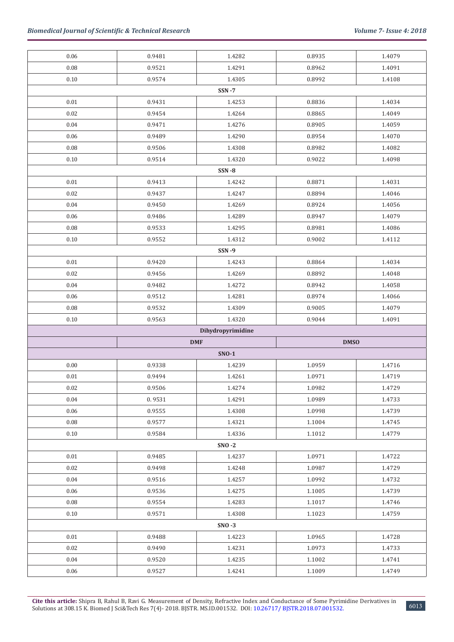| 0.06     | 0.9481     | 1.4282            | 0.8935      | 1.4079 |  |  |  |  |
|----------|------------|-------------------|-------------|--------|--|--|--|--|
| 0.08     | 0.9521     | 1.4291            | 0.8962      | 1.4091 |  |  |  |  |
| $0.10\,$ | 0.9574     | 1.4305            | 0.8992      | 1.4108 |  |  |  |  |
|          |            | $SSN - 7$         |             |        |  |  |  |  |
| 0.01     | 0.9431     | 1.4253            | 0.8836      | 1.4034 |  |  |  |  |
| 0.02     | 0.9454     | 1.4264            | 0.8865      | 1.4049 |  |  |  |  |
| 0.04     | 0.9471     | 1.4276            | 0.8905      | 1.4059 |  |  |  |  |
| 0.06     | 0.9489     | 1.4290            | 0.8954      | 1.4070 |  |  |  |  |
| 0.08     | 0.9506     | 1.4308            | 0.8982      | 1.4082 |  |  |  |  |
| $0.10\,$ | 0.9514     | 1.4320            | 0.9022      | 1.4098 |  |  |  |  |
|          |            | $SSN - 8$         |             |        |  |  |  |  |
| $0.01\,$ | 0.9413     | 1.4242            | 0.8871      | 1.4031 |  |  |  |  |
| 0.02     | 0.9437     | 1.4247            | 0.8894      | 1.4046 |  |  |  |  |
| 0.04     | 0.9450     | 1.4269            | 0.8924      | 1.4056 |  |  |  |  |
| 0.06     | 0.9486     | 1.4289            | 0.8947      | 1.4079 |  |  |  |  |
| 0.08     | 0.9533     | 1.4295            | 0.8981      | 1.4086 |  |  |  |  |
| $0.10\,$ | 0.9552     | 1.4312            | 0.9002      | 1.4112 |  |  |  |  |
|          |            | <b>SSN-9</b>      |             |        |  |  |  |  |
| $0.01\,$ | 0.9420     | 1.4243            | 0.8864      | 1.4034 |  |  |  |  |
| 0.02     | 0.9456     | 1.4269            | 0.8892      | 1.4048 |  |  |  |  |
| $0.04\,$ | 0.9482     | 1.4272            | 0.8942      | 1.4058 |  |  |  |  |
| 0.06     | 0.9512     | 1.4281            | 0.8974      | 1.4066 |  |  |  |  |
| 0.08     | 0.9532     | 1.4309            | 0.9005      | 1.4079 |  |  |  |  |
| $0.10\,$ | 0.9563     | 1.4320            | 0.9044      | 1.4091 |  |  |  |  |
|          |            | Dihydropyrimidine |             |        |  |  |  |  |
|          | <b>DMF</b> |                   | <b>DMSO</b> |        |  |  |  |  |
|          |            | $SNO-1$           |             |        |  |  |  |  |
| $0.00\,$ | 0.9338     | 1.4239            | 1.0959      | 1.4716 |  |  |  |  |
| $0.01\,$ | 0.9494     | 1.4261            | 1.0971      | 1.4719 |  |  |  |  |
| 0.02     | 0.9506     | 1.4274            | 1.0982      | 1.4729 |  |  |  |  |
| 0.04     | 0.9531     | 1.4291            | 1.0989      | 1.4733 |  |  |  |  |
| 0.06     | 0.9555     | 1.4308            | 1.0998      | 1.4739 |  |  |  |  |
| 0.08     | 0.9577     | 1.4321            | 1.1004      | 1.4745 |  |  |  |  |
| $0.10\,$ | 0.9584     | 1.4336            | 1.1012      | 1.4779 |  |  |  |  |
|          | $SNO - 2$  |                   |             |        |  |  |  |  |
| 0.01     |            |                   |             |        |  |  |  |  |
| 0.02     | 0.9485     | 1.4237            | 1.0971      | 1.4722 |  |  |  |  |
|          | 0.9498     | 1.4248            | 1.0987      | 1.4729 |  |  |  |  |
| 0.04     | 0.9516     | 1.4257            | 1.0992      | 1.4732 |  |  |  |  |
| 0.06     | 0.9536     | 1.4275            | 1.1005      | 1.4739 |  |  |  |  |
| $0.08\,$ | 0.9554     | 1.4283            | 1.1017      | 1.4746 |  |  |  |  |
| 0.10     | 0.9571     | 1.4308            | 1.1023      | 1.4759 |  |  |  |  |
|          |            | $SNO - 3$         |             |        |  |  |  |  |
| 0.01     | 0.9488     | 1.4223            | 1.0965      | 1.4728 |  |  |  |  |
| 0.02     | 0.9490     | 1.4231            | 1.0973      | 1.4733 |  |  |  |  |
| 0.04     | 0.9520     | 1.4235            | 1.1002      | 1.4741 |  |  |  |  |
| 0.06     | 0.9527     | 1.4241            | 1.1009      | 1.4749 |  |  |  |  |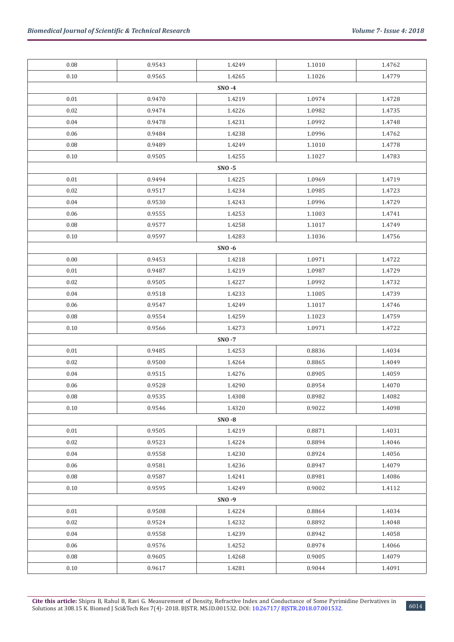| 0.08     | 0.9543 | 1.4249    | 1.1010 | 1.4762 |
|----------|--------|-----------|--------|--------|
| 0.10     | 0.9565 | 1.4265    | 1.1026 | 1.4779 |
|          |        | SNO-4     |        |        |
| 0.01     | 0.9470 | 1.4219    | 1.0974 | 1.4728 |
| 0.02     | 0.9474 | 1.4226    | 1.0982 | 1.4735 |
| 0.04     | 0.9478 | 1.4231    | 1.0992 | 1.4748 |
| 0.06     | 0.9484 | 1.4238    | 1.0996 | 1.4762 |
| 0.08     | 0.9489 | 1.4249    | 1.1010 | 1.4778 |
| 0.10     | 0.9505 | 1.4255    | 1.1027 | 1.4783 |
|          |        | $SNO - 5$ |        |        |
| 0.01     | 0.9494 | 1.4225    | 1.0969 | 1.4719 |
| 0.02     | 0.9517 | 1.4234    | 1.0985 | 1.4723 |
| 0.04     | 0.9530 | 1.4243    | 1.0996 | 1.4729 |
| 0.06     | 0.9555 | 1.4253    | 1.1003 | 1.4741 |
| 0.08     | 0.9577 | 1.4258    | 1.1017 | 1.4749 |
| 0.10     | 0.9597 | 1.4283    | 1.1036 | 1.4756 |
|          |        | $SNO - 6$ |        |        |
| 0.00     | 0.9453 | 1.4218    | 1.0971 | 1.4722 |
| 0.01     | 0.9487 | 1.4219    | 1.0987 | 1.4729 |
| 0.02     | 0.9505 | 1.4227    | 1.0992 | 1.4732 |
| 0.04     | 0.9518 | 1.4233    | 1.1005 | 1.4739 |
| 0.06     | 0.9547 | 1.4249    | 1.1017 | 1.4746 |
| 0.08     | 0.9554 | 1.4259    | 1.1023 | 1.4759 |
| 0.10     | 0.9566 | 1.4273    | 1.0971 | 1.4722 |
|          |        | SNO-7     |        |        |
| 0.01     | 0.9485 | 1.4253    | 0.8836 | 1.4034 |
| 0.02     | 0.9500 | 1.4264    | 0.8865 | 1.4049 |
| 0.04     | 0.9515 | 1.4276    | 0.8905 | 1.4059 |
| 0.06     | 0.9528 | 1.4290    | 0.8954 | 1.4070 |
| $0.08\,$ | 0.9535 | 1.4308    | 0.8982 | 1.4082 |
| 0.10     | 0.9546 | 1.4320    | 0.9022 | 1.4098 |
|          |        | $SNO - 8$ |        |        |
| 0.01     | 0.9505 | 1.4219    | 0.8871 | 1.4031 |
| 0.02     | 0.9523 | 1.4224    | 0.8894 | 1.4046 |
| 0.04     | 0.9558 | 1.4230    | 0.8924 | 1.4056 |
| 0.06     | 0.9581 | 1.4236    | 0.8947 | 1.4079 |
| 0.08     | 0.9587 | 1.4241    | 0.8981 | 1.4086 |
| 0.10     | 0.9595 | 1.4249    | 0.9002 | 1.4112 |
|          |        | SNO-9     |        |        |
| 0.01     | 0.9508 | 1.4224    | 0.8864 | 1.4034 |
| 0.02     | 0.9524 | 1.4232    | 0.8892 | 1.4048 |
| 0.04     | 0.9558 | 1.4239    | 0.8942 | 1.4058 |
| 0.06     | 0.9576 | 1.4252    | 0.8974 | 1.4066 |
| 0.08     | 0.9605 | 1.4268    | 0.9005 | 1.4079 |
| 0.10     | 0.9617 | 1.4281    | 0.9044 | 1.4091 |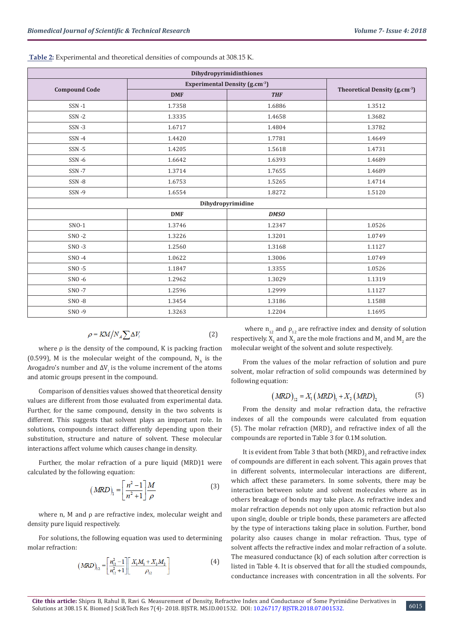| Dihydropyrimidinthiones |            |                                           |        |  |  |  |
|-------------------------|------------|-------------------------------------------|--------|--|--|--|
|                         |            | <b>Experimental Density (g.cm-3)</b>      |        |  |  |  |
| <b>Compound Code</b>    | <b>DMF</b> | Theoretical Density (g.cm <sup>-3</sup> ) |        |  |  |  |
| $SSN - 1$               | 1.7358     | 1.6886                                    | 1.3512 |  |  |  |
| $SSN - 2$               | 1.3335     | 1.4658                                    | 1.3682 |  |  |  |
| $SSN - 3$               | 1.6717     | 1.4804                                    | 1.3782 |  |  |  |
| $SSN - 4$               | 1.4420     | 1.7781                                    | 1.4649 |  |  |  |
| $SSN - 5$               | 1.4205     | 1.5618                                    | 1.4731 |  |  |  |
| $SSN - 6$               | 1.6642     | 1.6393                                    | 1.4689 |  |  |  |
| $SSN - 7$               | 1.3714     | 1.7655                                    | 1.4689 |  |  |  |
| $SSN - 8$               | 1.6753     | 1.5265                                    | 1.4714 |  |  |  |
| SSN-9                   | 1.6554     | 1.8272                                    | 1.5120 |  |  |  |
|                         |            | Dihydropyrimidine                         |        |  |  |  |
|                         | <b>DMF</b> | <b>DMSO</b>                               |        |  |  |  |
| $SNO-1$                 | 1.3746     | 1.2347                                    | 1.0526 |  |  |  |
| $SNO - 2$               | 1.3226     | 1.3201                                    | 1.0749 |  |  |  |
| $SNO - 3$               | 1.2560     | 1.3168                                    | 1.1127 |  |  |  |
| $SNO - 4$               | 1.0622     | 1.3006                                    | 1.0749 |  |  |  |
| $SNO - 5$               | 1.1847     | 1.3355                                    | 1.0526 |  |  |  |
| $SNO - 6$               | 1.2962     | 1.3029                                    | 1.1319 |  |  |  |
| $SNO - 7$               | 1.2596     | 1.2999                                    | 1.1127 |  |  |  |
| $SNO - 8$               | 1.3454     | 1.3186                                    | 1.1588 |  |  |  |
| SNO-9                   | 1.3263     | 1.2204                                    | 1.1695 |  |  |  |

 **Table 2:** Experimental and theoretical densities of compounds at 308.15 K.

$$
\rho = KM / N_A \sum \Delta V_i \tag{2}
$$

where ρ is the density of the compound, K is packing fraction (0.599), M is the molecular weight of the compound,  $N_A$  is the Avogadro's number and  $\Delta V_i$  is the volume increment of the atoms and atomic groups present in the compound.

Comparison of densities values showed that theoretical density values are different from those evaluated from experimental data. Further, for the same compound, density in the two solvents is different. This suggests that solvent plays an important role. In solutions, compounds interact differently depending upon their substitution, structure and nature of solvent. These molecular interactions affect volume which causes change in density.

Further, the molar refraction of a pure liquid (MRD)1 were calculated by the following equation:

$$
(MRD)_1 = \left[\frac{n^2 - 1}{n^2 + 1}\right] \frac{M}{\rho} \tag{3}
$$

where n, M and ρ are refractive index, molecular weight and density pure liquid respectively.

For solutions, the following equation was used to determining molar refraction:

$$
(MRD)_{12} = \left[\frac{n_{12}^2 - 1}{n_{12}^2 + 1}\right] \left[\frac{X_1M_1 + X_2M_2}{\rho_{12}}\right]
$$
 (4)

where  $n_{12}$  and  $p_{12}$  are refractive index and density of solution respectively.  $X_1$  and  $X_2$  are the mole fractions and  $M_1$  and  $M_2$  are the molecular weight of the solvent and solute respectively.

From the values of the molar refraction of solution and pure solvent, molar refraction of solid compounds was determined by following equation:

$$
(MRD)_{12} = X_1 (MRD)_1 + X_2 (MRD)_2
$$
 (5)

From the density and molar refraction data, the refractive indexes of all the compounds were calculated from equation (5). The molar refraction (MRD)<sub>2</sub> and refractive index of all the compounds are reported in Table 3 for 0.1M solution.

It is evident from Table 3 that both  $(MRD)_{2}$  and refractive index of compounds are different in each solvent. This again proves that in different solvents, intermolecular interactions are different, which affect these parameters. In some solvents, there may be interaction between solute and solvent molecules where as in others breakage of bonds may take place. As refractive index and molar refraction depends not only upon atomic refraction but also upon single, double or triple bonds, these parameters are affected by the type of interactions taking place in solution. Further, bond polarity also causes change in molar refraction. Thus, type of solvent affects the refractive index and molar refraction of a solute. The measured conductance (k) of each solution after correction is listed in Table 4. It is observed that for all the studied compounds, conductance increases with concentration in all the solvents. For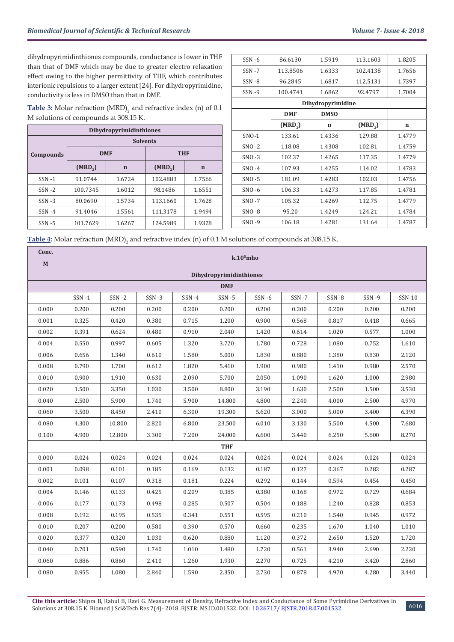dihydropyrimidinthiones compounds, conductance is lower in THF than that of DMF which may be due to greater electro relaxation effect owing to the higher permittivity of THF, which contributes interionic repulsions to a larger extent [24]. For dihydropyrimidine, conductivity is less in DMSO than that in DMF.

**Table 3:** Molar refraction (MRD)<sub>2</sub> and refractive index (n) of 0.1 M solutions of compounds at 308.15 K.

| Dihydropyrimidinthiones |                     |             |                     |             |  |  |
|-------------------------|---------------------|-------------|---------------------|-------------|--|--|
|                         | <b>Solvents</b>     |             |                     |             |  |  |
| <b>Compounds</b>        |                     | <b>DMF</b>  | <b>THF</b>          |             |  |  |
|                         | (MRD <sub>2</sub> ) | $\mathbf n$ | (MRD <sub>2</sub> ) | $\mathbf n$ |  |  |
| $SSN - 1$               | 91.0744             | 1.6724      | 102.4883            | 1.7566      |  |  |
| $SSN - 2$               | 100.7345            | 1.6012      | 98.1486             | 1.6551      |  |  |
| $SSN - 3$               | 80.0690             | 1.5734      | 113.1660            | 1.7628      |  |  |
| $SSN -4$                | 91.4046             | 1.5561      | 111.3178            | 1.9494      |  |  |
| $SSN - 5$               | 101.7629            | 1.6267      | 124.5989            | 1.9328      |  |  |

| $SSN - 6$ | 86.6130             | 1.5919            | 113.1603            | 1.8205      |
|-----------|---------------------|-------------------|---------------------|-------------|
| $SSN - 7$ | 113.8506            | 1.6333            | 102.4138            | 1.7656      |
| $SSN - 8$ | 96.2845             | 1.6817            | 112.5131            | 1.7397      |
| $SSN - 9$ | 100.4741            | 1.6862            | 92.4797             | 1.7004      |
|           |                     | Dihydropyrimidine |                     |             |
|           | <b>DMF</b>          | <b>DMSO</b>       |                     |             |
|           | (MRD <sub>2</sub> ) | $\mathbf n$       | (MRD <sub>2</sub> ) | $\mathbf n$ |
| $SNO-1$   | 133.61              | 1.4336            | 129.88              | 1.4779      |
| $SNO - 2$ | 118.08              | 1.4308            | 102.81              | 1.4759      |
| $SNO - 3$ | 102.37              | 1.4265            | 117.35              | 1.4779      |
| $SNO -4$  | 107.93              | 1.4255            | 114.02              | 1.4783      |
| $SNO - 5$ | 181.09              | 1.4283            | 102.03              | 1.4756      |
| $SNO - 6$ | 106.33              | 1.4273            | 117.85              | 1.4781      |
| $SNO - 7$ | 105.32              | 1.4269            | 112.75              | 1.4779      |
| $SNO - 8$ | 95.20               | 1.4249            | 124.21              | 1.4784      |
| $SNO - 9$ | 106.18              | 1.4281            | 131.64              | 1.4787      |

Table 4: Molar refraction (MRD)<sub>2</sub> and refractive index (n) of 0.1 M solutions of compounds at 308.15 K.

| Conc.       | $k.105$ mho             |           |           |       |            |           |           |       |              |        |
|-------------|-------------------------|-----------|-----------|-------|------------|-----------|-----------|-------|--------------|--------|
| $\mathbf M$ | Dihydropyrimidinthiones |           |           |       |            |           |           |       |              |        |
|             |                         |           |           |       | <b>DMF</b> |           |           |       |              |        |
|             | $SSN - 1$               | $SSN - 2$ | $SSN - 3$ | SSN-4 | $SSN - 5$  | $SSN - 6$ | $SSN - 7$ | SSN-8 | <b>SSN-9</b> | SSN-10 |
| 0.000       | 0.200                   | 0.200     | 0.200     | 0.200 | 0.200      | 0.200     | 0.200     | 0.200 | 0.200        | 0.200  |
| 0.001       | 0.325                   | 0.420     | 0.380     | 0.715 | 1.200      | 0.900     | 0.568     | 0.817 | 0.418        | 0.665  |
| 0.002       | 0.391                   | 0.624     | 0.480     | 0.910 | 2.040      | 1.420     | 0.614     | 1.020 | 0.577        | 1.000  |
| 0.004       | 0.550                   | 0.997     | 0.605     | 1.320 | 3.720      | 1.780     | 0.728     | 1.080 | 0.752        | 1.610  |
| 0.006       | 0.656                   | 1.340     | 0.610     | 1.580 | 5.000      | 1.830     | 0.880     | 1.380 | 0.830        | 2.120  |
| 0.008       | 0.790                   | 1.700     | 0.612     | 1.820 | 5.410      | 1.900     | 0.980     | 1.410 | 0.980        | 2.570  |
| 0.010       | 0.900                   | 1.910     | 0.630     | 2.090 | 5.700      | 2.050     | 1.090     | 1.620 | 1.000        | 2.980  |
| 0.020       | 1.500                   | 3.350     | 1.030     | 3.500 | 8.800      | 3.190     | 1.630     | 2.500 | 1.500        | 3.530  |
| 0.040       | 2.500                   | 5.900     | 1.740     | 5.900 | 14.800     | 4.800     | 2.240     | 4.000 | 2.500        | 4.970  |
| 0.060       | 3.500                   | 8.450     | 2.410     | 6.300 | 19.300     | 5.620     | 3.000     | 5.000 | 3.400        | 6.390  |
| 0.080       | 4.300                   | 10.800    | 2.820     | 6.800 | 23.500     | 6.010     | 3.130     | 5.500 | 4.500        | 7.680  |
| 0.100       | 4.900                   | 12.800    | 3.300     | 7.200 | 24.000     | 6.600     | 3.440     | 6.250 | 5.600        | 8.270  |
|             |                         |           |           |       | <b>THF</b> |           |           |       |              |        |
| 0.000       | 0.024                   | 0.024     | 0.024     | 0.024 | 0.024      | 0.024     | 0.024     | 0.024 | 0.024        | 0.024  |
| 0.001       | 0.098                   | 0.101     | 0.185     | 0.169 | 0.132      | 0.187     | 0.127     | 0.367 | 0.282        | 0.287  |
| 0.002       | 0.101                   | 0.107     | 0.318     | 0.181 | 0.224      | 0.292     | 0.144     | 0.594 | 0.454        | 0.450  |
| 0.004       | 0.146                   | 0.133     | 0.425     | 0.209 | 0.385      | 0.380     | 0.168     | 0.972 | 0.729        | 0.684  |
| 0.006       | 0.177                   | 0.173     | 0.498     | 0.285 | 0.507      | 0.504     | 0.188     | 1.240 | 0.828        | 0.853  |
| 0.008       | 0.192                   | 0.195     | 0.535     | 0.341 | 0.551      | 0.595     | 0.210     | 1.540 | 0.945        | 0.972  |
| 0.010       | 0.207                   | 0.200     | 0.580     | 0.390 | 0.570      | 0.660     | 0.235     | 1.670 | 1.040        | 1.010  |
| 0.020       | 0.377                   | 0.320     | 1.030     | 0.620 | 0.880      | 1.120     | 0.372     | 2.650 | 1.520        | 1.720  |
| 0.040       | 0.701                   | 0.590     | 1.740     | 1.010 | 1.480      | 1.720     | 0.561     | 3.940 | 2.690        | 2.220  |
| 0.060       | 0.886                   | 0.860     | 2.410     | 1.260 | 1.930      | 2.270     | 0.725     | 4.210 | 3.420        | 2.860  |
| 0.080       | 0.955                   | 1.080     | 2.840     | 1.590 | 2.350      | 2.730     | 0.878     | 4.970 | 4.280        | 3.440  |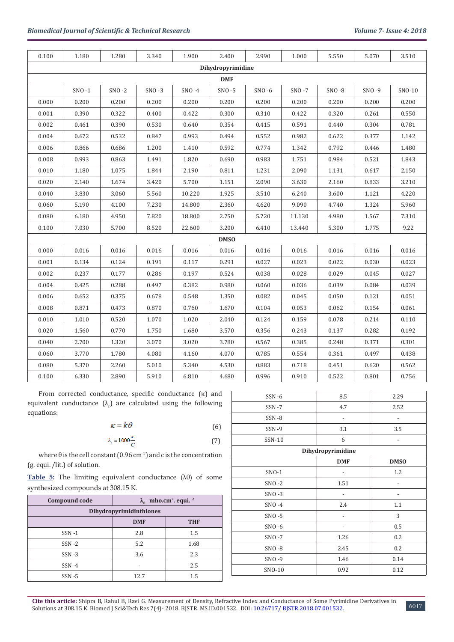| 0.100             | 1.180     | 1.280     | 3.340     | 1.900    | 2.400       | 2.990     | 1.000     | 5.550     | 5.070   | 3.510  |
|-------------------|-----------|-----------|-----------|----------|-------------|-----------|-----------|-----------|---------|--------|
| Dihydropyrimidine |           |           |           |          |             |           |           |           |         |        |
|                   |           |           |           |          | <b>DMF</b>  |           |           |           |         |        |
|                   | $SNO - 1$ | $SNO - 2$ | $SNO - 3$ | $SNO -4$ | $SNO - 5$   | $SNO - 6$ | $SNO - 7$ | $SNO - 8$ | $SNO-9$ | SNO-10 |
| 0.000             | 0.200     | 0.200     | 0.200     | 0.200    | 0.200       | 0.200     | 0.200     | 0.200     | 0.200   | 0.200  |
| 0.001             | 0.390     | 0.322     | 0.400     | 0.422    | 0.300       | 0.310     | 0.422     | 0.320     | 0.261   | 0.550  |
| 0.002             | 0.461     | 0.390     | 0.530     | 0.640    | 0.354       | 0.415     | 0.591     | 0.440     | 0.304   | 0.781  |
| 0.004             | 0.672     | 0.532     | 0.847     | 0.993    | 0.494       | 0.552     | 0.982     | 0.622     | 0.377   | 1.142  |
| 0.006             | 0.866     | 0.686     | 1.200     | 1.410    | 0.592       | 0.774     | 1.342     | 0.792     | 0.446   | 1.480  |
| 0.008             | 0.993     | 0.863     | 1.491     | 1.820    | 0.690       | 0.983     | 1.751     | 0.984     | 0.521   | 1.843  |
| 0.010             | 1.180     | 1.075     | 1.844     | 2.190    | 0.811       | 1.231     | 2.090     | 1.131     | 0.617   | 2.150  |
| 0.020             | 2.140     | 1.674     | 3.420     | 5.700    | 1.151       | 2.090     | 3.630     | 2.160     | 0.833   | 3.210  |
| 0.040             | 3.830     | 3.060     | 5.560     | 10.220   | 1.925       | 3.510     | 6.240     | 3.600     | 1.121   | 4.220  |
| 0.060             | 5.190     | 4.100     | 7.230     | 14.800   | 2.360       | 4.620     | 9.090     | 4.740     | 1.324   | 5.960  |
| 0.080             | 6.180     | 4.950     | 7.820     | 18.800   | 2.750       | 5.720     | 11.130    | 4.980     | 1.567   | 7.310  |
| 0.100             | 7.030     | 5.700     | 8.520     | 22.600   | 3.200       | 6.410     | 13.440    | 5.300     | 1.775   | 9.22   |
|                   |           |           |           |          | <b>DMSO</b> |           |           |           |         |        |
| 0.000             | 0.016     | 0.016     | 0.016     | 0.016    | 0.016       | 0.016     | 0.016     | 0.016     | 0.016   | 0.016  |
| 0.001             | 0.134     | 0.124     | 0.191     | 0.117    | 0.291       | 0.027     | 0.023     | 0.022     | 0.030   | 0.023  |
| 0.002             | 0.237     | 0.177     | 0.286     | 0.197    | 0.524       | 0.038     | 0.028     | 0.029     | 0.045   | 0.027  |
| 0.004             | 0.425     | 0.288     | 0.497     | 0.382    | 0.980       | 0.060     | 0.036     | 0.039     | 0.084   | 0.039  |
| 0.006             | 0.652     | 0.375     | 0.678     | 0.548    | 1.350       | 0.082     | 0.045     | 0.050     | 0.121   | 0.051  |
| 0.008             | 0.871     | 0.473     | 0.870     | 0.760    | 1.670       | 0.104     | 0.053     | 0.062     | 0.154   | 0.061  |
| 0.010             | 1.010     | 0.520     | 1.070     | 1.020    | 2.040       | 0.124     | 0.159     | 0.078     | 0.214   | 0.110  |
| 0.020             | 1.560     | 0.770     | 1.750     | 1.680    | 3.570       | 0.356     | 0.243     | 0.137     | 0.282   | 0.192  |
| 0.040             | 2.700     | 1.320     | 3.070     | 3.020    | 3.780       | 0.567     | 0.385     | 0.248     | 0.371   | 0.301  |
| 0.060             | 3.770     | 1.780     | 4.080     | 4.160    | 4.070       | 0.785     | 0.554     | 0.361     | 0.497   | 0.438  |
| 0.080             | 5.370     | 2.260     | 5.010     | 5.340    | 4.530       | 0.883     | 0.718     | 0.451     | 0.620   | 0.562  |
| 0.100             | 6.330     | 2.890     | 5.910     | 6.810    | 4.680       | 0.996     | 0.910     | 0.522     | 0.801   | 0.756  |

From corrected conductance, specific conductance (κ) and equivalent conductance  $(\lambda_c)$  are calculated using the following equations:

$$
\kappa = k\theta \tag{6}
$$

$$
\lambda_{\epsilon} = 1000 \frac{\kappa}{C} \tag{7}
$$

where  $\theta$  is the cell constant (0.96 cm<sup>-1</sup>) and c is the concentration (g. equi. /lit.) of solution.

**Table 5:** The limiting equivalent conductance (λ0) of some synthesized compounds at 308.15 K.

| Compound code                  | $\lambda_0$ mho.cm <sup>2</sup> . equi. <sup>1</sup> |      |  |  |  |  |
|--------------------------------|------------------------------------------------------|------|--|--|--|--|
| <b>Dihydropyrimidinthiones</b> |                                                      |      |  |  |  |  |
|                                | <b>DMF</b><br><b>THF</b>                             |      |  |  |  |  |
| $SSN - 1$                      | 2.8                                                  | 1.5  |  |  |  |  |
| $SSN - 2$                      | 5.2                                                  | 1.68 |  |  |  |  |
| $SSN - 3$                      | 3.6                                                  | 2.3  |  |  |  |  |
| $SSN -4$                       |                                                      | 2.5  |  |  |  |  |
| $SSN - 5$                      | 12.7                                                 | 1.5  |  |  |  |  |

| $SSN - 6$ | 8.5               | 2.29        |
|-----------|-------------------|-------------|
| $SSN - 7$ | 4.7               | 2.52        |
| SSN-8     |                   |             |
| SSN-9     | 3.1               | 3.5         |
| SSN-10    | 6                 |             |
|           | Dihydropyrimidine |             |
|           | <b>DMF</b>        | <b>DMSO</b> |
| SNO-1     |                   | 1.2         |
| $SNO - 2$ | 1.51              |             |
| $SNO - 3$ |                   |             |
| $SNO - 4$ | 2.4               | 1.1         |
| $SNO - 5$ |                   | 3           |
| $SNO - 6$ |                   | 0.5         |
| SNO-7     | 1.26              | 0.2         |
| $SNO - 8$ | 2.45              | 0.2         |
| SNO-9     | 1.46              | 0.14        |
| SNO-10    | 0.92              | 0.12        |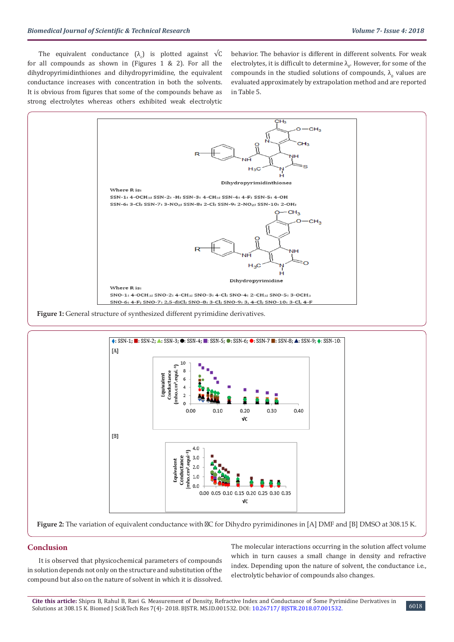The equivalent conductance  $(\lambda_c)$  is plotted against  $\forall C$ for all compounds as shown in (Figures 1 & 2). For all the dihydropyrimidinthiones and dihydropyrimidine, the equivalent conductance increases with concentration in both the solvents. It is obvious from figures that some of the compounds behave as strong electrolytes whereas others exhibited weak electrolytic

behavior. The behavior is different in different solvents. For weak electrolytes, it is difficult to determine  $\lambda_{0}$ . However, for some of the compounds in the studied solutions of compounds,  $\lambda_0$  values are evaluated approximately by extrapolation method and are reported in Table 5.





# **Conclusion**

It is observed that physicochemical parameters of compounds in solution depends not only on the structure and substitution of the compound but also on the nature of solvent in which it is dissolved.

The molecular interactions occurring in the solution affect volume which in turn causes a small change in density and refractive index. Depending upon the nature of solvent, the conductance i.e., electrolytic behavior of compounds also changes.